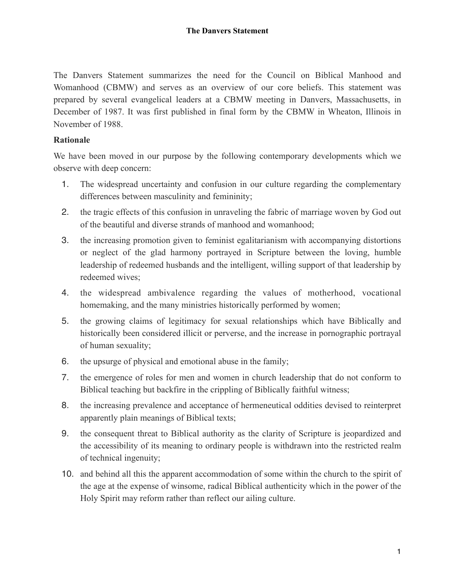The Danvers Statement summarizes the need for the Council on Biblical Manhood and Womanhood (CBMW) and serves as an overview of our core beliefs. This statement was prepared by several evangelical leaders at a CBMW meeting in Danvers, Massachusetts, in December of 1987. It was first published in final form by the CBMW in Wheaton, Illinois in November of 1988.

## **Rationale**

We have been moved in our purpose by the following contemporary developments which we observe with deep concern:

- 1. The widespread uncertainty and confusion in our culture regarding the complementary differences between masculinity and femininity;
- 2. the tragic effects of this confusion in unraveling the fabric of marriage woven by God out of the beautiful and diverse strands of manhood and womanhood;
- 3. the increasing promotion given to feminist egalitarianism with accompanying distortions or neglect of the glad harmony portrayed in Scripture between the loving, humble leadership of redeemed husbands and the intelligent, willing support of that leadership by redeemed wives;
- 4. the widespread ambivalence regarding the values of motherhood, vocational homemaking, and the many ministries historically performed by women;
- 5. the growing claims of legitimacy for sexual relationships which have Biblically and historically been considered illicit or perverse, and the increase in pornographic portrayal of human sexuality;
- 6. the upsurge of physical and emotional abuse in the family;
- 7. the emergence of roles for men and women in church leadership that do not conform to Biblical teaching but backfire in the crippling of Biblically faithful witness;
- 8. the increasing prevalence and acceptance of hermeneutical oddities devised to reinterpret apparently plain meanings of Biblical texts;
- 9. the consequent threat to Biblical authority as the clarity of Scripture is jeopardized and the accessibility of its meaning to ordinary people is withdrawn into the restricted realm of technical ingenuity;
- 10. and behind all this the apparent accommodation of some within the church to the spirit of the age at the expense of winsome, radical Biblical authenticity which in the power of the Holy Spirit may reform rather than reflect our ailing culture.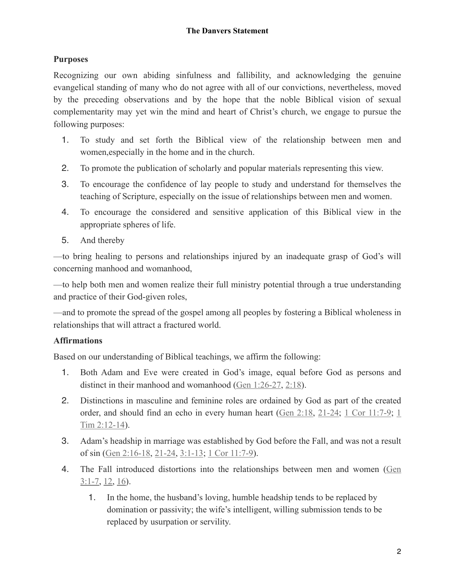## **Purposes**

Recognizing our own abiding sinfulness and fallibility, and acknowledging the genuine evangelical standing of many who do not agree with all of our convictions, nevertheless, moved by the preceding observations and by the hope that the noble Biblical vision of sexual complementarity may yet win the mind and heart of Christ's church, we engage to pursue the following purposes:

- 1. To study and set forth the Biblical view of the relationship between men and women,especially in the home and in the church.
- 2. To promote the publication of scholarly and popular materials representing this view.
- 3. To encourage the confidence of lay people to study and understand for themselves the teaching of Scripture, especially on the issue of relationships between men and women.
- 4. To encourage the considered and sensitive application of this Biblical view in the appropriate spheres of life.
- 5. And thereby

—to bring healing to persons and relationships injured by an inadequate grasp of God's will concerning manhood and womanhood,

—to help both men and women realize their full ministry potential through a true understanding and practice of their God-given roles,

—and to promote the spread of the gospel among all peoples by fostering a Biblical wholeness in relationships that will attract a fractured world.

## **Affirmations**

Based on our understanding of Biblical teachings, we affirm the following:

- 1. Both Adam and Eve were created in God's image, equal before God as persons and distinct in their manhood and womanhood ([Gen 1:26-27](https://biblia.com/bible/esv/Gen%201.26-27), [2:18\)](https://biblia.com/bible/esv/Gen%202.18).
- 2. Distinctions in masculine and feminine roles are ordained by God as part of the created order, and should find an echo in every human heart ([Gen 2:18](https://biblia.com/bible/esv/Gen%202.18), [21-24](https://biblia.com/bible/esv/Gen%202.21-24); [1 Cor 11:7-9;](https://biblia.com/bible/esv/1%20Cor%2011.7-9) [1](https://biblia.com/bible/esv/1%20Tim%202.12-14) [Tim 2:12-14\)](https://biblia.com/bible/esv/1%20Tim%202.12-14).
- 3. Adam's headship in marriage was established by God before the Fall, and was not a result of sin ([Gen 2:16-18](https://biblia.com/bible/esv/Gen%202.16-18), [21-24](https://biblia.com/bible/esv/Gen%202.21-24), [3:1-13;](https://biblia.com/bible/esv/Gen%203.1-13) [1 Cor 11:7-9\)](https://biblia.com/bible/esv/1%20Cor%2011.7-9).
- 4. The Fall introduced distortions into the relationships between men and women ([Gen](https://biblia.com/bible/esv/Gen%203.1-7)   $3:1-7, 12, 16$  $3:1-7, 12, 16$  $3:1-7, 12, 16$  $3:1-7, 12, 16$  $3:1-7, 12, 16$ .
	- 1. In the home, the husband's loving, humble headship tends to be replaced by domination or passivity; the wife's intelligent, willing submission tends to be replaced by usurpation or servility.